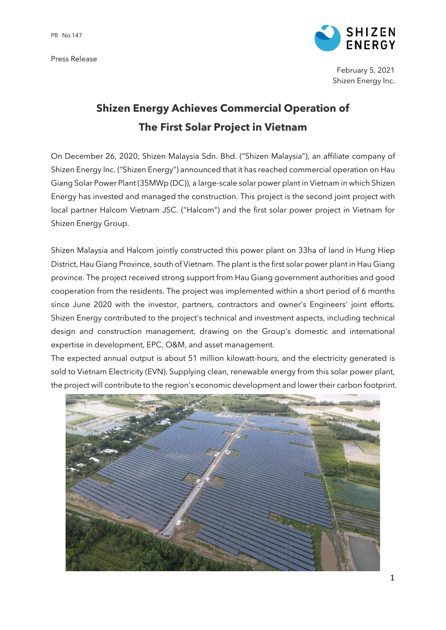Press Release



February 5, 2021 Shizen Energy Inc.

## **Shizen Energy Achieves Commercial Operation of The First Solar Project in Vietnam**

On December 26, 2020, Shizen Malaysia Sdn. Bhd. ("Shizen Malaysia"), an affiliate company of Shizen Energy Inc. ("Shizen Energy") announced that it has reached commercial operation on Hau Giang Solar Power Plant (35MWp (DC)), a large-scale solar power plant in Vietnam in which Shizen Energy has invested and managed the construction. This project is the second joint project with local partner Halcom Vietnam JSC. ("Halcom") and the first solar power project in Vietnam for Shizen Energy Group.

Shizen Malaysia and Halcom jointly constructed this power plant on 33ha of land in Hung Hiep District, Hau Giang Province, south of Vietnam. The plant is the first solar power plant in Hau Giang province. The project received strong support from Hau Giang government authorities and good cooperation from the residents. The project was implemented within a short period of 6 months since June 2020 with the investor, partners, contractors and owner's Engineers' joint efforts. Shizen Energy contributed to the project's technical and investment aspects, including technical design and construction management, drawing on the Group's domestic and international expertise in development, EPC, O&M, and asset management.

The expected annual output is about 51 million kilowatt-hours, and the electricity generated is sold to Vietnam Electricity (EVN). Supplying clean, renewable energy from this solar power plant, the project will contribute to the region's economic development and lower their carbon footprint.